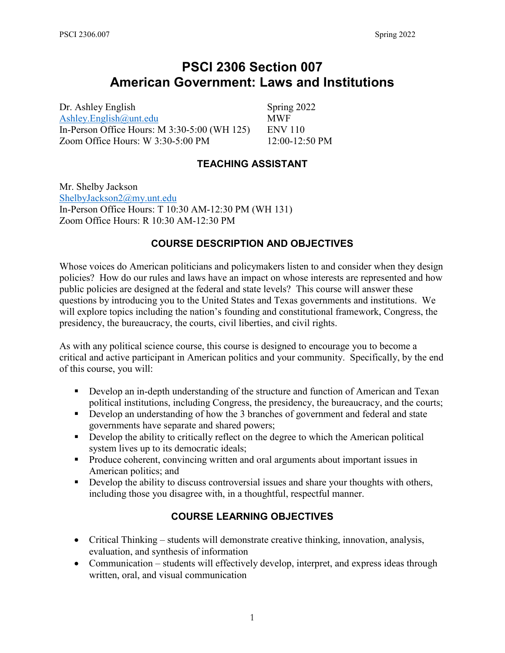# **PSCI 2306 Section 007 American Government: Laws and Institutions**

Dr. Ashley English Spring 2022 [Ashley.English@unt.edu](mailto:Ashley.English@unt.edu) MWF In-Person Office Hours: M 3:30-5:00 (WH 125) ENV 110 Zoom Office Hours: W 3:30-5:00 PM 12:00-12:50 PM

**TEACHING ASSISTANT**

Mr. Shelby Jackson [ShelbyJackson2@my.unt.edu](mailto:ShelbyJackson2@my.unt.edu) In-Person Office Hours: T 10:30 AM-12:30 PM (WH 131) Zoom Office Hours: R 10:30 AM-12:30 PM

### **COURSE DESCRIPTION AND OBJECTIVES**

Whose voices do American politicians and policymakers listen to and consider when they design policies? How do our rules and laws have an impact on whose interests are represented and how public policies are designed at the federal and state levels? This course will answer these questions by introducing you to the United States and Texas governments and institutions. We will explore topics including the nation's founding and constitutional framework, Congress, the presidency, the bureaucracy, the courts, civil liberties, and civil rights.

As with any political science course, this course is designed to encourage you to become a critical and active participant in American politics and your community. Specifically, by the end of this course, you will:

- **Develop an in-depth understanding of the structure and function of American and Texan** political institutions, including Congress, the presidency, the bureaucracy, and the courts;
- Develop an understanding of how the 3 branches of government and federal and state governments have separate and shared powers;
- Develop the ability to critically reflect on the degree to which the American political system lives up to its democratic ideals;
- **Produce coherent, convincing written and oral arguments about important issues in** American politics; and
- Develop the ability to discuss controversial issues and share your thoughts with others, including those you disagree with, in a thoughtful, respectful manner.

## **COURSE LEARNING OBJECTIVES**

- Critical Thinking students will demonstrate creative thinking, innovation, analysis, evaluation, and synthesis of information
- Communication students will effectively develop, interpret, and express ideas through written, oral, and visual communication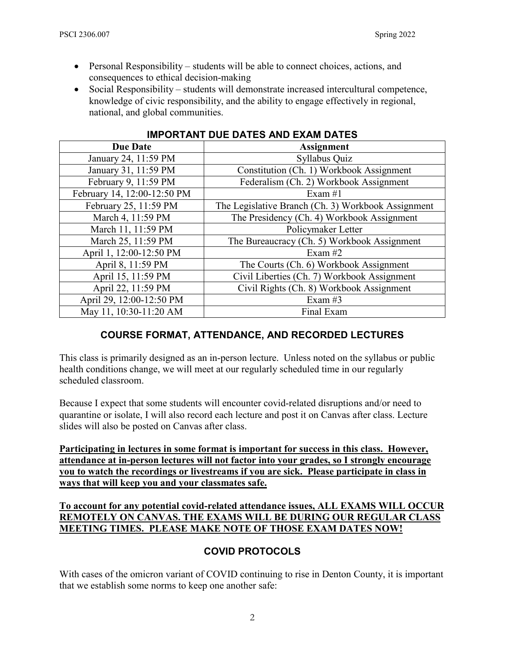- Personal Responsibility students will be able to connect choices, actions, and consequences to ethical decision-making
- Social Responsibility students will demonstrate increased intercultural competence, knowledge of civic responsibility, and the ability to engage effectively in regional, national, and global communities.

| <b>Due Date</b>             | <b>Assignment</b>                                  |
|-----------------------------|----------------------------------------------------|
| January 24, 11:59 PM        | Syllabus Quiz                                      |
| January 31, 11:59 PM        | Constitution (Ch. 1) Workbook Assignment           |
| February 9, 11:59 PM        | Federalism (Ch. 2) Workbook Assignment             |
| February 14, 12:00-12:50 PM | Exam $#1$                                          |
| February 25, 11:59 PM       | The Legislative Branch (Ch. 3) Workbook Assignment |
| March 4, 11:59 PM           | The Presidency (Ch. 4) Workbook Assignment         |
| March 11, 11:59 PM          | Policymaker Letter                                 |
| March 25, 11:59 PM          | The Bureaucracy (Ch. 5) Workbook Assignment        |
| April 1, 12:00-12:50 PM     | Exam $#2$                                          |
| April 8, 11:59 PM           | The Courts (Ch. 6) Workbook Assignment             |
| April 15, 11:59 PM          | Civil Liberties (Ch. 7) Workbook Assignment        |
| April 22, 11:59 PM          | Civil Rights (Ch. 8) Workbook Assignment           |
| April 29, 12:00-12:50 PM    | Exam #3                                            |
| May 11, 10:30-11:20 AM      | Final Exam                                         |

### **IMPORTANT DUE DATES AND EXAM DATES**

## **COURSE FORMAT, ATTENDANCE, AND RECORDED LECTURES**

This class is primarily designed as an in-person lecture. Unless noted on the syllabus or public health conditions change, we will meet at our regularly scheduled time in our regularly scheduled classroom.

Because I expect that some students will encounter covid-related disruptions and/or need to quarantine or isolate, I will also record each lecture and post it on Canvas after class. Lecture slides will also be posted on Canvas after class.

**Participating in lectures in some format is important for success in this class. However, attendance at in-person lectures will not factor into your grades, so I strongly encourage you to watch the recordings or livestreams if you are sick. Please participate in class in ways that will keep you and your classmates safe.**

**To account for any potential covid-related attendance issues, ALL EXAMS WILL OCCUR REMOTELY ON CANVAS. THE EXAMS WILL BE DURING OUR REGULAR CLASS MEETING TIMES. PLEASE MAKE NOTE OF THOSE EXAM DATES NOW!**

## **COVID PROTOCOLS**

With cases of the omicron variant of COVID continuing to rise in Denton County, it is important that we establish some norms to keep one another safe: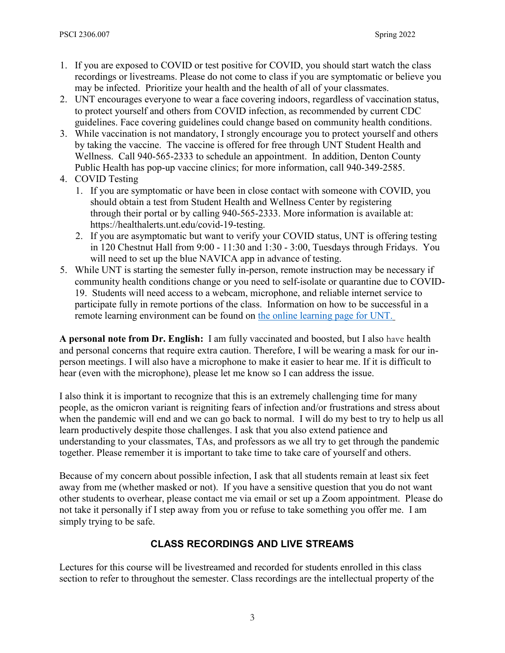- 1. If you are exposed to COVID or test positive for COVID, you should start watch the class recordings or livestreams. Please do not come to class if you are symptomatic or believe you may be infected. Prioritize your health and the health of all of your classmates.
- 2. UNT encourages everyone to wear a face covering indoors, regardless of vaccination status, to protect yourself and others from COVID infection, as recommended by current CDC guidelines. Face covering guidelines could change based on community health conditions.
- 3. While vaccination is not mandatory, I strongly encourage you to protect yourself and others by taking the vaccine. The vaccine is offered for free through UNT Student Health and Wellness. Call 940-565-2333 to schedule an appointment. In addition, Denton County Public Health has pop-up vaccine clinics; for more information, call 940-349-2585.
- 4. COVID Testing
	- 1. If you are symptomatic or have been in close contact with someone with COVID, you should obtain a test from Student Health and Wellness Center by registering through their portal or by calling 940-565-2333. More information is available at: https://healthalerts.unt.edu/covid-19-testing.
	- 2. If you are asymptomatic but want to verify your COVID status, UNT is offering testing in 120 Chestnut Hall from 9:00 - 11:30 and 1:30 - 3:00, Tuesdays through Fridays. You will need to set up the blue NAVICA app in advance of testing.
- 5. While UNT is starting the semester fully in-person, remote instruction may be necessary if community health conditions change or you need to self-isolate or quarantine due to COVID-19. Students will need access to a webcam, microphone, and reliable internet service to participate fully in remote portions of the class. Information on how to be successful in a remote learning environment can be found on [the online learning page for UNT.](https://online.unt.edu/learn)

**A personal note from Dr. English:** I am fully vaccinated and boosted, but I also have health and personal concerns that require extra caution. Therefore, I will be wearing a mask for our inperson meetings. I will also have a microphone to make it easier to hear me. If it is difficult to hear (even with the microphone), please let me know so I can address the issue.

I also think it is important to recognize that this is an extremely challenging time for many people, as the omicron variant is reigniting fears of infection and/or frustrations and stress about when the pandemic will end and we can go back to normal. I will do my best to try to help us all learn productively despite those challenges. I ask that you also extend patience and understanding to your classmates, TAs, and professors as we all try to get through the pandemic together. Please remember it is important to take time to take care of yourself and others.

Because of my concern about possible infection, I ask that all students remain at least six feet away from me (whether masked or not). If you have a sensitive question that you do not want other students to overhear, please contact me via email or set up a Zoom appointment. Please do not take it personally if I step away from you or refuse to take something you offer me. I am simply trying to be safe.

## **CLASS RECORDINGS AND LIVE STREAMS**

Lectures for this course will be livestreamed and recorded for students enrolled in this class section to refer to throughout the semester. Class recordings are the intellectual property of the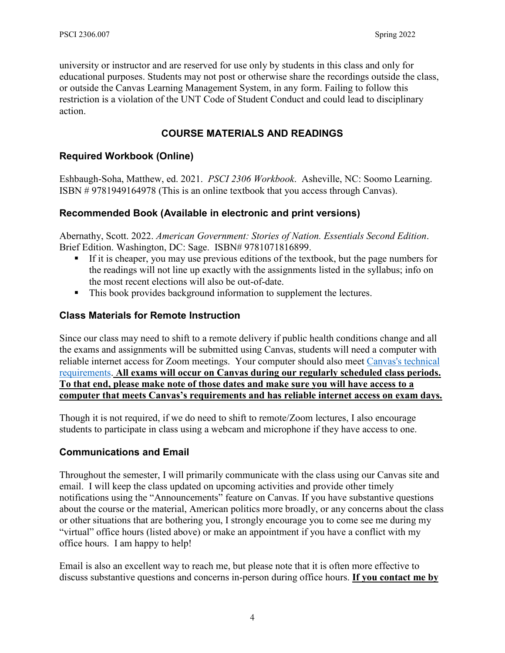university or instructor and are reserved for use only by students in this class and only for educational purposes. Students may not post or otherwise share the recordings outside the class, or outside the Canvas Learning Management System, in any form. Failing to follow this restriction is a violation of the UNT Code of Student Conduct and could lead to disciplinary action.

## **COURSE MATERIALS AND READINGS**

### **Required Workbook (Online)**

Eshbaugh-Soha, Matthew, ed. 2021. *PSCI 2306 Workbook*. Asheville, NC: Soomo Learning. ISBN # 9781949164978 (This is an online textbook that you access through Canvas).

### **Recommended Book (Available in electronic and print versions)**

Abernathy, Scott. 2022. *American Government: Stories of Nation. Essentials Second Edition*. Brief Edition. Washington, DC: Sage. ISBN# 9781071816899.

- If it is cheaper, you may use previous editions of the textbook, but the page numbers for the readings will not line up exactly with the assignments listed in the syllabus; info on the most recent elections will also be out-of-date.
- This book provides background information to supplement the lectures.

### **Class Materials for Remote Instruction**

Since our class may need to shift to a remote delivery if public health conditions change and all the exams and assignments will be submitted using Canvas, students will need a computer with reliable internet access for Zoom meetings. Your computer should also meet [Canvas's technical](https://clear.unt.edu/supported-technologies/canvas/requirements)  [requirements.](https://clear.unt.edu/supported-technologies/canvas/requirements) **All exams will occur on Canvas during our regularly scheduled class periods. To that end, please make note of those dates and make sure you will have access to a computer that meets Canvas's requirements and has reliable internet access on exam days.**

Though it is not required, if we do need to shift to remote/Zoom lectures, I also encourage students to participate in class using a webcam and microphone if they have access to one.

## **Communications and Email**

Throughout the semester, I will primarily communicate with the class using our Canvas site and email. I will keep the class updated on upcoming activities and provide other timely notifications using the "Announcements" feature on Canvas. If you have substantive questions about the course or the material, American politics more broadly, or any concerns about the class or other situations that are bothering you, I strongly encourage you to come see me during my "virtual" office hours (listed above) or make an appointment if you have a conflict with my office hours. I am happy to help!

Email is also an excellent way to reach me, but please note that it is often more effective to discuss substantive questions and concerns in-person during office hours. **If you contact me by**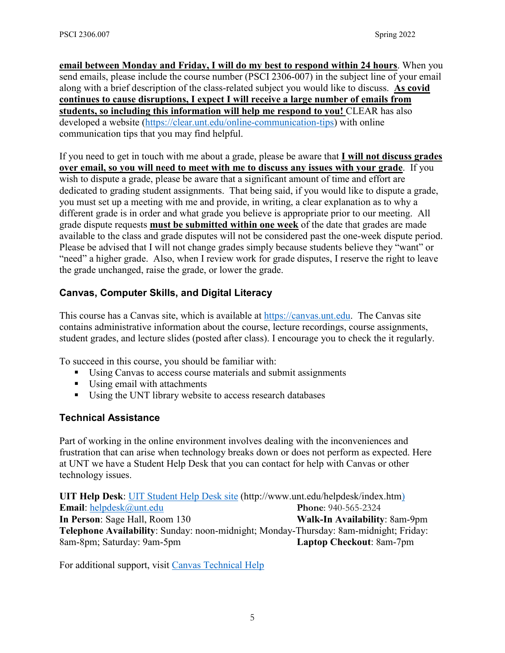**email between Monday and Friday, I will do my best to respond within 24 hours**. When you send emails, please include the course number (PSCI 2306-007) in the subject line of your email along with a brief description of the class-related subject you would like to discuss. **As covid continues to cause disruptions, I expect I will receive a large number of emails from students, so including this information will help me respond to you!** CLEAR has also developed a website [\(https://clear.unt.edu/online-communication-tips\)](https://clear.unt.edu/online-communication-tips) with online communication tips that you may find helpful.

If you need to get in touch with me about a grade, please be aware that **I will not discuss grades over email, so you will need to meet with me to discuss any issues with your grade**. If you wish to dispute a grade, please be aware that a significant amount of time and effort are dedicated to grading student assignments. That being said, if you would like to dispute a grade, you must set up a meeting with me and provide, in writing, a clear explanation as to why a different grade is in order and what grade you believe is appropriate prior to our meeting. All grade dispute requests **must be submitted within one week** of the date that grades are made available to the class and grade disputes will not be considered past the one-week dispute period. Please be advised that I will not change grades simply because students believe they "want" or "need" a higher grade. Also, when I review work for grade disputes, I reserve the right to leave the grade unchanged, raise the grade, or lower the grade.

## **Canvas, Computer Skills, and Digital Literacy**

This course has a Canvas site, which is available at [https://canvas.unt.edu.](https://canvas.unt.edu/) The Canvas site contains administrative information about the course, lecture recordings, course assignments, student grades, and lecture slides (posted after class). I encourage you to check the it regularly.

To succeed in this course, you should be familiar with:

- Using Canvas to access course materials and submit assignments
- Using email with attachments
- Using the UNT library website to access research databases

### **Technical Assistance**

Part of working in the online environment involves dealing with the inconveniences and frustration that can arise when technology breaks down or does not perform as expected. Here at UNT we have a Student Help Desk that you can contact for help with Canvas or other technology issues.

**UIT Help Desk**: [UIT Student Help Desk site](http://www.unt.edu/helpdesk/index.htm) (http://www.unt.edu/helpdesk/index.htm) **Email**: [helpdesk@unt.edu](mailto:helpdesk@unt.edu) **Phone**: 940-565-2324 **In Person**: Sage Hall, Room 130 **Walk-In Availability**: 8am-9pm **Telephone Availability**: Sunday: noon-midnight; Monday-Thursday: 8am-midnight; Friday: 8am-8pm; Saturday: 9am-5pm **Laptop Checkout**: 8am-7pm

For additional support, visit [Canvas Technical Help](https://community.canvaslms.com/docs/DOC-10554-4212710328)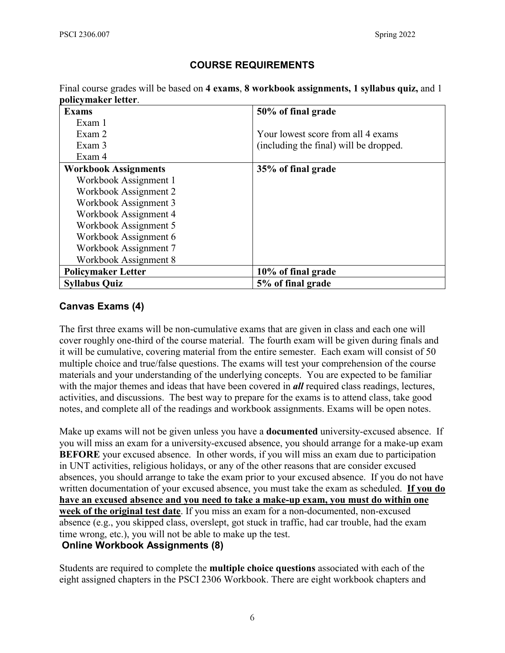### **COURSE REQUIREMENTS**

Final course grades will be based on **4 exams**, **8 workbook assignments, 1 syllabus quiz,** and 1 **policymaker letter**.

| <b>Exams</b>                | 50% of final grade                     |
|-----------------------------|----------------------------------------|
| Exam 1                      |                                        |
| Exam 2                      | Your lowest score from all 4 exams     |
| Exam 3                      | (including the final) will be dropped. |
| Exam 4                      |                                        |
| <b>Workbook Assignments</b> | 35% of final grade                     |
| Workbook Assignment 1       |                                        |
| Workbook Assignment 2       |                                        |
| Workbook Assignment 3       |                                        |
| Workbook Assignment 4       |                                        |
| Workbook Assignment 5       |                                        |
| Workbook Assignment 6       |                                        |
| Workbook Assignment 7       |                                        |
| Workbook Assignment 8       |                                        |
| <b>Policymaker Letter</b>   | 10\% of final grade                    |
| <b>Syllabus Quiz</b>        | 5% of final grade                      |

### **Canvas Exams (4)**

The first three exams will be non-cumulative exams that are given in class and each one will cover roughly one-third of the course material. The fourth exam will be given during finals and it will be cumulative, covering material from the entire semester. Each exam will consist of 50 multiple choice and true/false questions. The exams will test your comprehension of the course materials and your understanding of the underlying concepts. You are expected to be familiar with the major themes and ideas that have been covered in *all* required class readings, lectures, activities, and discussions. The best way to prepare for the exams is to attend class, take good notes, and complete all of the readings and workbook assignments. Exams will be open notes.

Make up exams will not be given unless you have a **documented** university-excused absence. If you will miss an exam for a university-excused absence, you should arrange for a make-up exam **BEFORE** your excused absence. In other words, if you will miss an exam due to participation in UNT activities, religious holidays, or any of the other reasons that are consider excused absences, you should arrange to take the exam prior to your excused absence. If you do not have written documentation of your excused absence, you must take the exam as scheduled. **If you do have an excused absence and you need to take a make-up exam, you must do within one week of the original test date**. If you miss an exam for a non-documented, non-excused absence (e.g., you skipped class, overslept, got stuck in traffic, had car trouble, had the exam time wrong, etc.), you will not be able to make up the test. **Online Workbook Assignments (8)**

Students are required to complete the **multiple choice questions** associated with each of the eight assigned chapters in the PSCI 2306 Workbook. There are eight workbook chapters and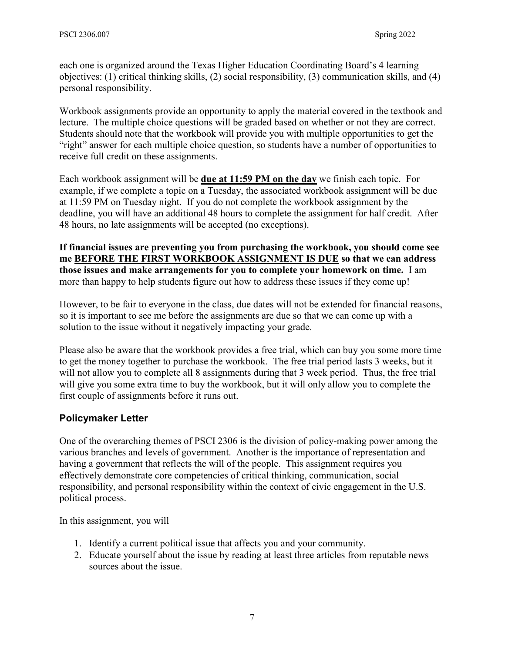each one is organized around the Texas Higher Education Coordinating Board's 4 learning objectives: (1) critical thinking skills, (2) social responsibility, (3) communication skills, and (4) personal responsibility.

Workbook assignments provide an opportunity to apply the material covered in the textbook and lecture. The multiple choice questions will be graded based on whether or not they are correct. Students should note that the workbook will provide you with multiple opportunities to get the "right" answer for each multiple choice question, so students have a number of opportunities to receive full credit on these assignments.

Each workbook assignment will be **due at 11:59 PM on the day** we finish each topic. For example, if we complete a topic on a Tuesday, the associated workbook assignment will be due at 11:59 PM on Tuesday night. If you do not complete the workbook assignment by the deadline, you will have an additional 48 hours to complete the assignment for half credit. After 48 hours, no late assignments will be accepted (no exceptions).

**If financial issues are preventing you from purchasing the workbook, you should come see me BEFORE THE FIRST WORKBOOK ASSIGNMENT IS DUE so that we can address those issues and make arrangements for you to complete your homework on time.** I am more than happy to help students figure out how to address these issues if they come up!

However, to be fair to everyone in the class, due dates will not be extended for financial reasons, so it is important to see me before the assignments are due so that we can come up with a solution to the issue without it negatively impacting your grade.

Please also be aware that the workbook provides a free trial, which can buy you some more time to get the money together to purchase the workbook. The free trial period lasts 3 weeks, but it will not allow you to complete all 8 assignments during that 3 week period. Thus, the free trial will give you some extra time to buy the workbook, but it will only allow you to complete the first couple of assignments before it runs out.

## **Policymaker Letter**

One of the overarching themes of PSCI 2306 is the division of policy-making power among the various branches and levels of government. Another is the importance of representation and having a government that reflects the will of the people. This assignment requires you effectively demonstrate core competencies of critical thinking, communication, social responsibility, and personal responsibility within the context of civic engagement in the U.S. political process.

In this assignment, you will

- 1. Identify a current political issue that affects you and your community.
- 2. Educate yourself about the issue by reading at least three articles from reputable news sources about the issue.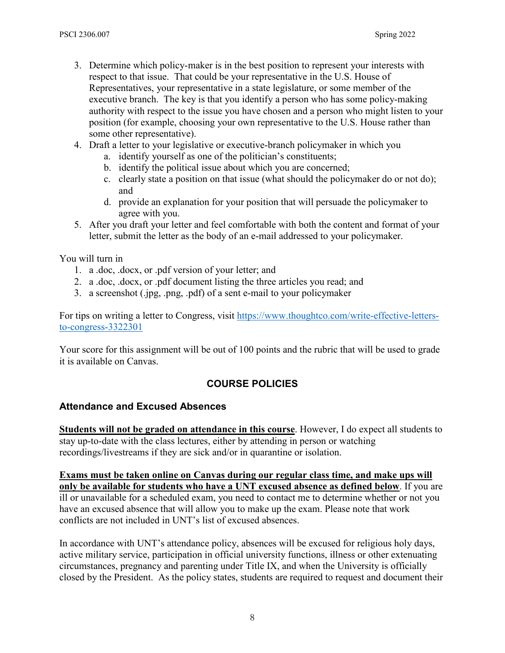- 3. Determine which policy-maker is in the best position to represent your interests with respect to that issue. That could be your representative in the U.S. House of Representatives, your representative in a state legislature, or some member of the executive branch. The key is that you identify a person who has some policy-making authority with respect to the issue you have chosen and a person who might listen to your position (for example, choosing your own representative to the U.S. House rather than some other representative).
- 4. Draft a letter to your legislative or executive-branch policymaker in which you
	- a. identify yourself as one of the politician's constituents;
	- b. identify the political issue about which you are concerned;
	- c. clearly state a position on that issue (what should the policymaker do or not do); and
	- d. provide an explanation for your position that will persuade the policymaker to agree with you.
- 5. After you draft your letter and feel comfortable with both the content and format of your letter, submit the letter as the body of an e-mail addressed to your policymaker.

You will turn in

- 1. a .doc, .docx, or .pdf version of your letter; and
- 2. a .doc, .docx, or .pdf document listing the three articles you read; and
- 3. a screenshot (.jpg, .png, .pdf) of a sent e-mail to your policymaker

For tips on writing a letter to Congress, visit [https://www.thoughtco.com/write-effective-letters](https://www.thoughtco.com/write-effective-letters-to-congress-3322301)[to-congress-3322301](https://www.thoughtco.com/write-effective-letters-to-congress-3322301)

Your score for this assignment will be out of 100 points and the rubric that will be used to grade it is available on Canvas.

## **COURSE POLICIES**

### **Attendance and Excused Absences**

**Students will not be graded on attendance in this course**. However, I do expect all students to stay up-to-date with the class lectures, either by attending in person or watching recordings/livestreams if they are sick and/or in quarantine or isolation.

**Exams must be taken online on Canvas during our regular class time, and make ups will only be available for students who have a UNT excused absence as defined below**. If you are ill or unavailable for a scheduled exam, you need to contact me to determine whether or not you have an excused absence that will allow you to make up the exam. Please note that work conflicts are not included in UNT's list of excused absences.

In accordance with UNT's attendance policy, absences will be excused for religious holy days, active military service, participation in official university functions, illness or other extenuating circumstances, pregnancy and parenting under Title IX, and when the University is officially closed by the President. As the policy states, students are required to request and document their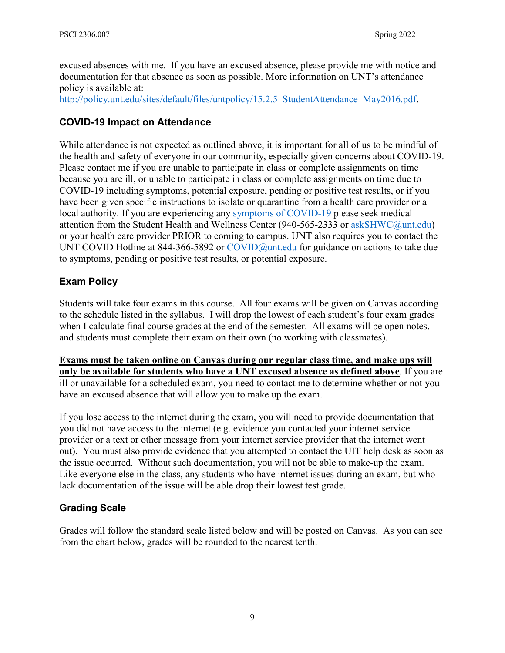excused absences with me. If you have an excused absence, please provide me with notice and documentation for that absence as soon as possible. More information on UNT's attendance policy is available at:

http://policy.unt.edu/sites/default/files/untpolicy/15.2.5 StudentAttendance May2016.pdf.

### **COVID-19 Impact on Attendance**

While attendance is not expected as outlined above, it is important for all of us to be mindful of the health and safety of everyone in our community, especially given concerns about COVID-19. Please contact me if you are unable to participate in class or complete assignments on time because you are ill, or unable to participate in class or complete assignments on time due to COVID-19 including symptoms, potential exposure, pending or positive test results, or if you have been given specific instructions to isolate or quarantine from a health care provider or a local authority. If you are experiencing any [symptoms of COVID-19](https://www.cdc.gov/coronavirus/2019-ncov/symptoms-testing/symptoms.html) please seek medical attention from the Student Health and Wellness Center (940-565-2333 or [askSHWC@unt.edu\)](mailto:askSHWC@unt.edu) or your health care provider PRIOR to coming to campus. UNT also requires you to contact the UNT COVID Hotline at 844-366-5892 or [COVID@unt.edu](mailto:COVID@unt.edu) for guidance on actions to take due to symptoms, pending or positive test results, or potential exposure.

## **Exam Policy**

Students will take four exams in this course. All four exams will be given on Canvas according to the schedule listed in the syllabus. I will drop the lowest of each student's four exam grades when I calculate final course grades at the end of the semester. All exams will be open notes, and students must complete their exam on their own (no working with classmates).

**Exams must be taken online on Canvas during our regular class time, and make ups will only be available for students who have a UNT excused absence as defined above**. If you are ill or unavailable for a scheduled exam, you need to contact me to determine whether or not you have an excused absence that will allow you to make up the exam.

If you lose access to the internet during the exam, you will need to provide documentation that you did not have access to the internet (e.g. evidence you contacted your internet service provider or a text or other message from your internet service provider that the internet went out). You must also provide evidence that you attempted to contact the UIT help desk as soon as the issue occurred. Without such documentation, you will not be able to make-up the exam. Like everyone else in the class, any students who have internet issues during an exam, but who lack documentation of the issue will be able drop their lowest test grade.

## **Grading Scale**

Grades will follow the standard scale listed below and will be posted on Canvas. As you can see from the chart below, grades will be rounded to the nearest tenth.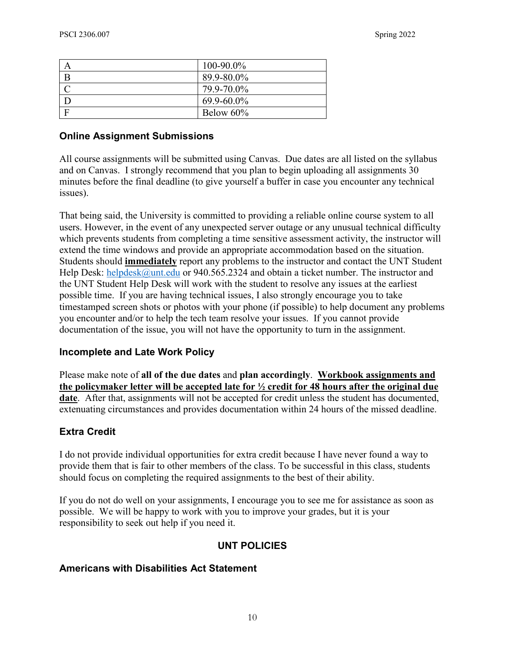| $100 - 90.0\%$ |
|----------------|
| 89.9-80.0%     |
| 79.9-70.0%     |
| 69.9-60.0%     |
| Below $60\%$   |

#### **Online Assignment Submissions**

All course assignments will be submitted using Canvas. Due dates are all listed on the syllabus and on Canvas. I strongly recommend that you plan to begin uploading all assignments 30 minutes before the final deadline (to give yourself a buffer in case you encounter any technical issues).

That being said, the University is committed to providing a reliable online course system to all users. However, in the event of any unexpected server outage or any unusual technical difficulty which prevents students from completing a time sensitive assessment activity, the instructor will extend the time windows and provide an appropriate accommodation based on the situation. Students should **immediately** report any problems to the instructor and contact the UNT Student Help Desk: [helpdesk@unt.edu](mailto:helpdesk@unt.edu) or 940.565.2324 and obtain a ticket number. The instructor and the UNT Student Help Desk will work with the student to resolve any issues at the earliest possible time. If you are having technical issues, I also strongly encourage you to take timestamped screen shots or photos with your phone (if possible) to help document any problems you encounter and/or to help the tech team resolve your issues. If you cannot provide documentation of the issue, you will not have the opportunity to turn in the assignment.

#### **Incomplete and Late Work Policy**

Please make note of **all of the due dates** and **plan accordingly**. **Workbook assignments and the policymaker letter will be accepted late for ½ credit for 48 hours after the original due date**. After that, assignments will not be accepted for credit unless the student has documented, extenuating circumstances and provides documentation within 24 hours of the missed deadline.

### **Extra Credit**

I do not provide individual opportunities for extra credit because I have never found a way to provide them that is fair to other members of the class. To be successful in this class, students should focus on completing the required assignments to the best of their ability.

If you do not do well on your assignments, I encourage you to see me for assistance as soon as possible. We will be happy to work with you to improve your grades, but it is your responsibility to seek out help if you need it.

## **UNT POLICIES**

### **Americans with Disabilities Act Statement**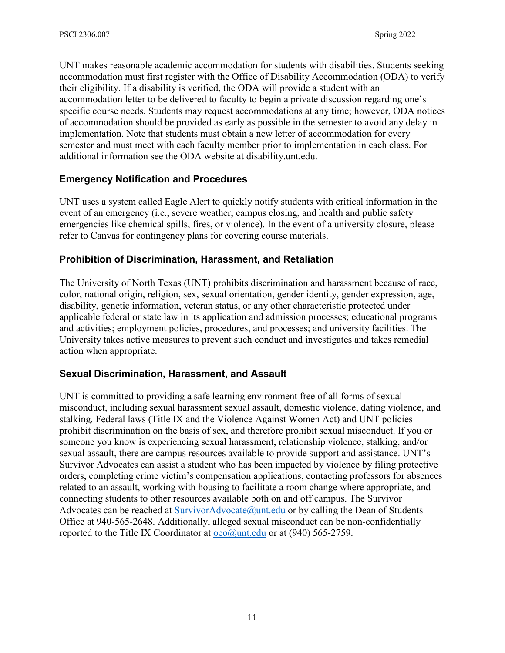UNT makes reasonable academic accommodation for students with disabilities. Students seeking accommodation must first register with the Office of Disability Accommodation (ODA) to verify their eligibility. If a disability is verified, the ODA will provide a student with an accommodation letter to be delivered to faculty to begin a private discussion regarding one's specific course needs. Students may request accommodations at any time; however, ODA notices of accommodation should be provided as early as possible in the semester to avoid any delay in implementation. Note that students must obtain a new letter of accommodation for every semester and must meet with each faculty member prior to implementation in each class. For additional information see the ODA website at disability.unt.edu.

## **Emergency Notification and Procedures**

UNT uses a system called Eagle Alert to quickly notify students with critical information in the event of an emergency (i.e., severe weather, campus closing, and health and public safety emergencies like chemical spills, fires, or violence). In the event of a university closure, please refer to Canvas for contingency plans for covering course materials.

### **Prohibition of Discrimination, Harassment, and Retaliation**

The University of North Texas (UNT) prohibits discrimination and harassment because of race, color, national origin, religion, sex, sexual orientation, gender identity, gender expression, age, disability, genetic information, veteran status, or any other characteristic protected under applicable federal or state law in its application and admission processes; educational programs and activities; employment policies, procedures, and processes; and university facilities. The University takes active measures to prevent such conduct and investigates and takes remedial action when appropriate.

### **Sexual Discrimination, Harassment, and Assault**

UNT is committed to providing a safe learning environment free of all forms of sexual misconduct, including sexual harassment sexual assault, domestic violence, dating violence, and stalking. Federal laws (Title IX and the Violence Against Women Act) and UNT policies prohibit discrimination on the basis of sex, and therefore prohibit sexual misconduct. If you or someone you know is experiencing sexual harassment, relationship violence, stalking, and/or sexual assault, there are campus resources available to provide support and assistance. UNT's Survivor Advocates can assist a student who has been impacted by violence by filing protective orders, completing crime victim's compensation applications, contacting professors for absences related to an assault, working with housing to facilitate a room change where appropriate, and connecting students to other resources available both on and off campus. The Survivor Advocates can be reached at  $\text{SurvivorAdvocate@unt.edu}$  or by calling the Dean of Students Office at 940-565-2648. Additionally, alleged sexual misconduct can be non-confidentially reported to the Title IX Coordinator at  $oeo(\partial)$ unt.edu or at (940) 565-2759.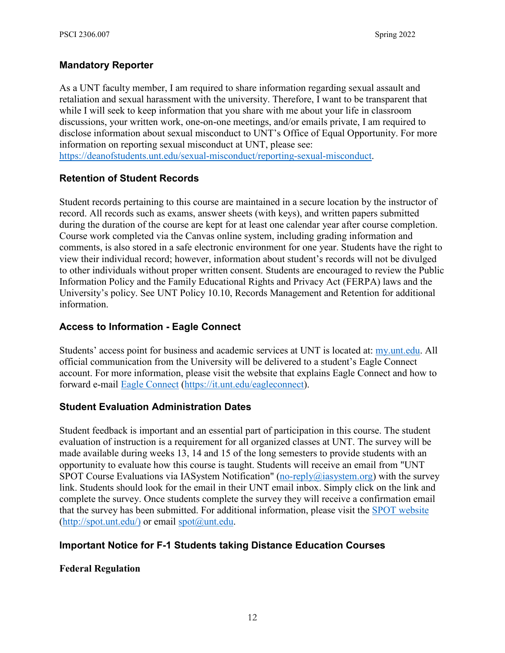## **Mandatory Reporter**

As a UNT faculty member, I am required to share information regarding sexual assault and retaliation and sexual harassment with the university. Therefore, I want to be transparent that while I will seek to keep information that you share with me about your life in classroom discussions, your written work, one-on-one meetings, and/or emails private, I am required to disclose information about sexual misconduct to UNT's Office of Equal Opportunity. For more information on reporting sexual misconduct at UNT, please see:

[https://deanofstudents.unt.edu/sexual-misconduct/reporting-sexual-misconduct.](https://deanofstudents.unt.edu/sexual-misconduct/reporting-sexual-misconduct)

## **Retention of Student Records**

Student records pertaining to this course are maintained in a secure location by the instructor of record. All records such as exams, answer sheets (with keys), and written papers submitted during the duration of the course are kept for at least one calendar year after course completion. Course work completed via the Canvas online system, including grading information and comments, is also stored in a safe electronic environment for one year. Students have the right to view their individual record; however, information about student's records will not be divulged to other individuals without proper written consent. Students are encouraged to review the Public Information Policy and the Family Educational Rights and Privacy Act (FERPA) laws and the University's policy. See UNT Policy 10.10, Records Management and Retention for additional information.

## **Access to Information - Eagle Connect**

Students' access point for business and academic services at UNT is located at: [my.unt.edu.](https://my.unt.edu/) All official communication from the University will be delivered to a student's Eagle Connect account. For more information, please visit the website that explains Eagle Connect and how to forward e-mail [Eagle Connect](https://it.unt.edu/eagleconnect) [\(https://it.unt.edu/eagleconnect\)](https://it.unt.edu/eagleconnect).

## **Student Evaluation Administration Dates**

Student feedback is important and an essential part of participation in this course. The student evaluation of instruction is a requirement for all organized classes at UNT. The survey will be made available during weeks 13, 14 and 15 of the long semesters to provide students with an opportunity to evaluate how this course is taught. Students will receive an email from "UNT SPOT Course Evaluations via IASystem Notification" (no-reply@iasystem.org) with the survey link. Students should look for the email in their UNT email inbox. Simply click on the link and complete the survey. Once students complete the survey they will receive a confirmation email that the survey has been submitted. For additional information, please visit the [SPOT website](http://spot.unt.edu/)  $(http://spot.unt.edu/)$  or email  $spot@$ unt.edu.

### **Important Notice for F-1 Students taking Distance Education Courses**

### **Federal Regulation**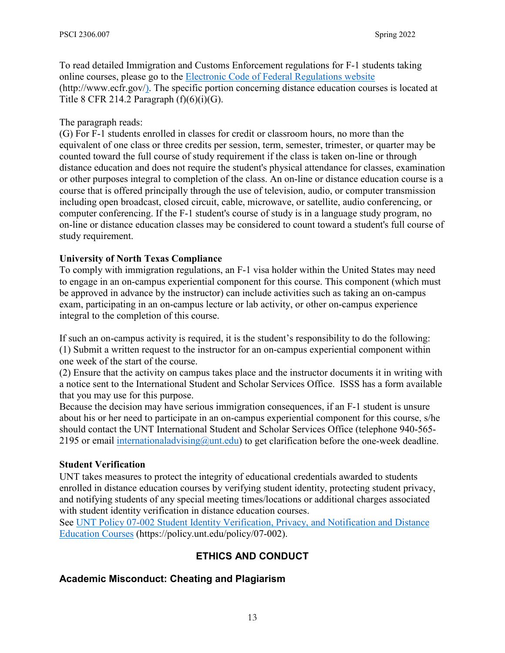To read detailed Immigration and Customs Enforcement regulations for F-1 students taking online courses, please go to the [Electronic Code of Federal Regulations website](http://www.ecfr.gov/) (http://www.ecfr.gov/). The specific portion concerning distance education courses is located at Title 8 CFR 214.2 Paragraph  $(f)(6)(i)(G)$ .

### The paragraph reads:

(G) For F-1 students enrolled in classes for credit or classroom hours, no more than the equivalent of one class or three credits per session, term, semester, trimester, or quarter may be counted toward the full course of study requirement if the class is taken on-line or through distance education and does not require the student's physical attendance for classes, examination or other purposes integral to completion of the class. An on-line or distance education course is a course that is offered principally through the use of television, audio, or computer transmission including open broadcast, closed circuit, cable, microwave, or satellite, audio conferencing, or computer conferencing. If the F-1 student's course of study is in a language study program, no on-line or distance education classes may be considered to count toward a student's full course of study requirement.

### **University of North Texas Compliance**

To comply with immigration regulations, an F-1 visa holder within the United States may need to engage in an on-campus experiential component for this course. This component (which must be approved in advance by the instructor) can include activities such as taking an on-campus exam, participating in an on-campus lecture or lab activity, or other on-campus experience integral to the completion of this course.

If such an on-campus activity is required, it is the student's responsibility to do the following: (1) Submit a written request to the instructor for an on-campus experiential component within one week of the start of the course.

(2) Ensure that the activity on campus takes place and the instructor documents it in writing with a notice sent to the International Student and Scholar Services Office. ISSS has a form available that you may use for this purpose.

Because the decision may have serious immigration consequences, if an F-1 student is unsure about his or her need to participate in an on-campus experiential component for this course, s/he should contact the UNT International Student and Scholar Services Office (telephone 940-565- 2195 or email international advising  $@$  untitudual to get clarification before the one-week deadline.

### **Student Verification**

UNT takes measures to protect the integrity of educational credentials awarded to students enrolled in distance education courses by verifying student identity, protecting student privacy, and notifying students of any special meeting times/locations or additional charges associated with student identity verification in distance education courses.

See [UNT Policy 07-002 Student Identity Verification, Privacy, and Notification and Distance](https://policy.unt.edu/policy/07-002)  [Education Courses](https://policy.unt.edu/policy/07-002) (https://policy.unt.edu/policy/07-002).

## **ETHICS AND CONDUCT**

## **Academic Misconduct: Cheating and Plagiarism**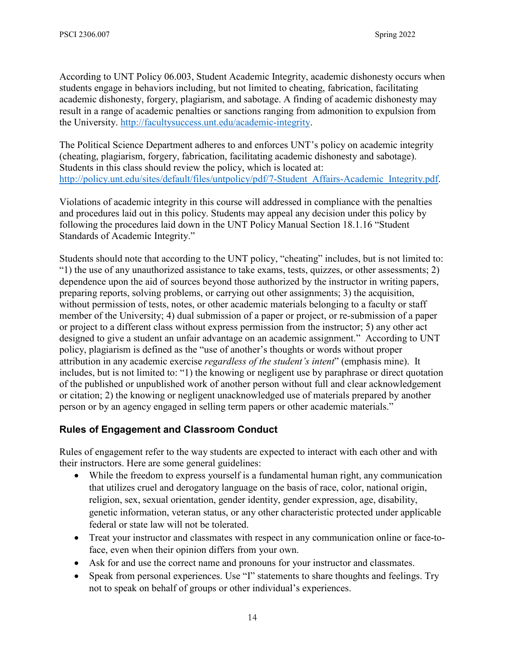According to UNT Policy 06.003, Student Academic Integrity, academic dishonesty occurs when students engage in behaviors including, but not limited to cheating, fabrication, facilitating academic dishonesty, forgery, plagiarism, and sabotage. A finding of academic dishonesty may result in a range of academic penalties or sanctions ranging from admonition to expulsion from the University. [http://facultysuccess.unt.edu/academic-integrity.](http://facultysuccess.unt.edu/academic-integrity)

The Political Science Department adheres to and enforces UNT's policy on academic integrity (cheating, plagiarism, forgery, fabrication, facilitating academic dishonesty and sabotage). Students in this class should review the policy, which is located at: [http://policy.unt.edu/sites/default/files/untpolicy/pdf/7-Student\\_Affairs-Academic\\_Integrity.pdf.](http://policy.unt.edu/sites/default/files/untpolicy/pdf/7-Student_Affairs-Academic_Integrity.pdf)

Violations of academic integrity in this course will addressed in compliance with the penalties and procedures laid out in this policy. Students may appeal any decision under this policy by following the procedures laid down in the UNT Policy Manual Section 18.1.16 "Student Standards of Academic Integrity."

Students should note that according to the UNT policy, "cheating" includes, but is not limited to: "1) the use of any unauthorized assistance to take exams, tests, quizzes, or other assessments; 2) dependence upon the aid of sources beyond those authorized by the instructor in writing papers, preparing reports, solving problems, or carrying out other assignments; 3) the acquisition, without permission of tests, notes, or other academic materials belonging to a faculty or staff member of the University; 4) dual submission of a paper or project, or re-submission of a paper or project to a different class without express permission from the instructor; 5) any other act designed to give a student an unfair advantage on an academic assignment." According to UNT policy, plagiarism is defined as the "use of another's thoughts or words without proper attribution in any academic exercise *regardless of the student's intent*" (emphasis mine). It includes, but is not limited to: "1) the knowing or negligent use by paraphrase or direct quotation of the published or unpublished work of another person without full and clear acknowledgement or citation; 2) the knowing or negligent unacknowledged use of materials prepared by another person or by an agency engaged in selling term papers or other academic materials."

## **Rules of Engagement and Classroom Conduct**

Rules of engagement refer to the way students are expected to interact with each other and with their instructors. Here are some general guidelines:

- While the freedom to express yourself is a fundamental human right, any communication that utilizes cruel and derogatory language on the basis of race, color, national origin, religion, sex, sexual orientation, gender identity, gender expression, age, disability, genetic information, veteran status, or any other characteristic protected under applicable federal or state law will not be tolerated.
- Treat your instructor and classmates with respect in any communication online or face-toface, even when their opinion differs from your own.
- Ask for and use the correct name and pronouns for your instructor and classmates.
- Speak from personal experiences. Use "I" statements to share thoughts and feelings. Try not to speak on behalf of groups or other individual's experiences.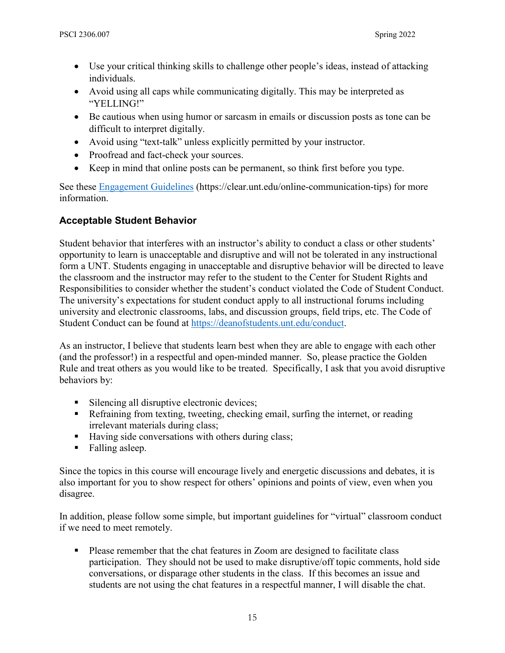- Use your critical thinking skills to challenge other people's ideas, instead of attacking individuals.
- Avoid using all caps while communicating digitally. This may be interpreted as "YELLING!"
- Be cautious when using humor or sarcasm in emails or discussion posts as tone can be difficult to interpret digitally.
- Avoid using "text-talk" unless explicitly permitted by your instructor.
- Proofread and fact-check your sources.
- Keep in mind that online posts can be permanent, so think first before you type.

See these [Engagement Guidelines](https://clear.unt.edu/online-communication-tips) (https://clear.unt.edu/online-communication-tips) for more information.

## **Acceptable Student Behavior**

Student behavior that interferes with an instructor's ability to conduct a class or other students' opportunity to learn is unacceptable and disruptive and will not be tolerated in any instructional form a UNT. Students engaging in unacceptable and disruptive behavior will be directed to leave the classroom and the instructor may refer to the student to the Center for Student Rights and Responsibilities to consider whether the student's conduct violated the Code of Student Conduct. The university's expectations for student conduct apply to all instructional forums including university and electronic classrooms, labs, and discussion groups, field trips, etc. The Code of Student Conduct can be found at [https://deanofstudents.unt.edu/conduct.](https://deanofstudents.unt.edu/conduct)

As an instructor, I believe that students learn best when they are able to engage with each other (and the professor!) in a respectful and open-minded manner. So, please practice the Golden Rule and treat others as you would like to be treated. Specifically, I ask that you avoid disruptive behaviors by:

- Silencing all disruptive electronic devices;
- Refraining from texting, tweeting, checking email, surfing the internet, or reading irrelevant materials during class;
- Having side conversations with others during class;
- Falling asleep.

Since the topics in this course will encourage lively and energetic discussions and debates, it is also important for you to show respect for others' opinions and points of view, even when you disagree.

In addition, please follow some simple, but important guidelines for "virtual" classroom conduct if we need to meet remotely.

**Please remember that the chat features in Zoom are designed to facilitate class** participation. They should not be used to make disruptive/off topic comments, hold side conversations, or disparage other students in the class. If this becomes an issue and students are not using the chat features in a respectful manner, I will disable the chat.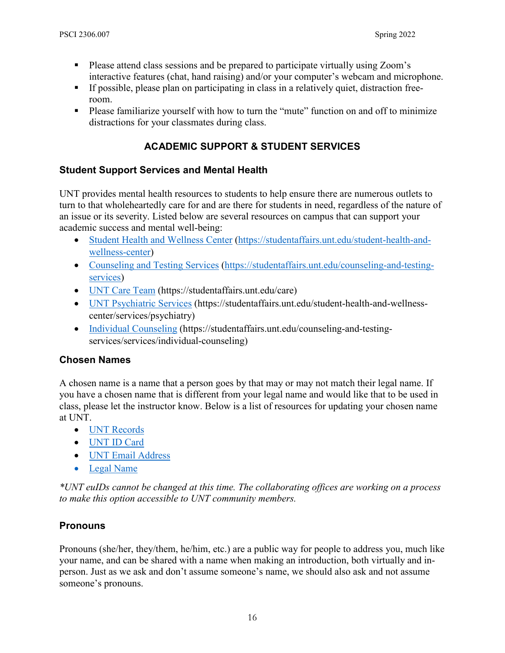- Please attend class sessions and be prepared to participate virtually using Zoom's interactive features (chat, hand raising) and/or your computer's webcam and microphone.
- If possible, please plan on participating in class in a relatively quiet, distraction freeroom.
- Please familiarize yourself with how to turn the "mute" function on and off to minimize distractions for your classmates during class.

## **ACADEMIC SUPPORT & STUDENT SERVICES**

## **Student Support Services and Mental Health**

UNT provides mental health resources to students to help ensure there are numerous outlets to turn to that wholeheartedly care for and are there for students in need, regardless of the nature of an issue or its severity. Listed below are several resources on campus that can support your academic success and mental well-being:

- [Student Health and Wellness Center](https://studentaffairs.unt.edu/student-health-and-wellness-center) (https://studentaffairs.unt.edu/student-health-andwellness-center)
- [Counseling and Testing Services](https://studentaffairs.unt.edu/counseling-and-testing-services) (https://studentaffairs.unt.edu/counseling-and-testingservices)
- [UNT Care Team](https://studentaffairs.unt.edu/care) (https://studentaffairs.unt.edu/care)
- [UNT Psychiatric Services](https://studentaffairs.unt.edu/student-health-and-wellness-center/services/psychiatry) (https://studentaffairs.unt.edu/student-health-and-wellnesscenter/services/psychiatry)
- [Individual Counseling](https://studentaffairs.unt.edu/counseling-and-testing-services/services/individual-counseling) (https://studentaffairs.unt.edu/counseling-and-testingservices/services/individual-counseling)

## **Chosen Names**

A chosen name is a name that a person goes by that may or may not match their legal name. If you have a chosen name that is different from your legal name and would like that to be used in class, please let the instructor know. Below is a list of resources for updating your chosen name at UNT.

- [UNT Records](https://registrar.unt.edu/transcripts-and-records/update-your-personal-information)
- [UNT ID Card](https://sfs.unt.edu/idcards)
- [UNT Email Address](https://sso.unt.edu/idp/profile/SAML2/Redirect/SSO;jsessionid=E4DCA43DF85E3B74B3E496CAB99D8FC6?execution=e1s1)
- [Legal Name](https://studentaffairs.unt.edu/student-legal-services)

*\*UNT euIDs cannot be changed at this time. The collaborating offices are working on a process to make this option accessible to UNT community members.*

## **Pronouns**

Pronouns (she/her, they/them, he/him, etc.) are a public way for people to address you, much like your name, and can be shared with a name when making an introduction, both virtually and inperson. Just as we ask and don't assume someone's name, we should also ask and not assume someone's pronouns.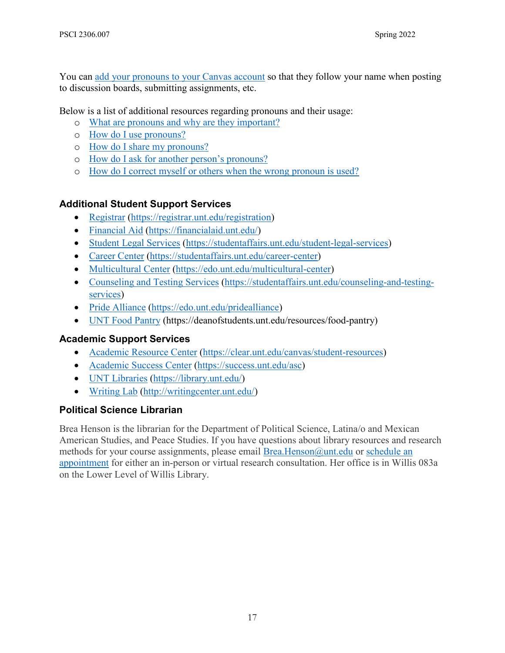You can [add your pronouns to your Canvas account](https://community.canvaslms.com/docs/DOC-18406-42121184808) so that they follow your name when posting to discussion boards, submitting assignments, etc.

Below is a list of additional resources regarding pronouns and their usage:

- o [What are pronouns and why are they important?](https://www.mypronouns.org/what-and-why)
- o [How do I use pronouns?](https://www.mypronouns.org/how)
- o [How do I share my pronouns?](https://www.mypronouns.org/sharing)
- o [How do I ask for another person's pronouns?](https://www.mypronouns.org/asking)
- o [How do I correct myself or others when the wrong pronoun is used?](https://www.mypronouns.org/mistakes)

### **Additional Student Support Services**

- Registrar (https://registrar.unt.edu/registration)
- [Financial Aid](https://financialaid.unt.edu/) (https://financialaid.unt.edu/)
- [Student Legal Services](https://studentaffairs.unt.edu/student-legal-services) (https://studentaffairs.unt.edu/student-legal-services)
- [Career Center](https://studentaffairs.unt.edu/career-center) (https://studentaffairs.unt.edu/career-center)
- [Multicultural Center](https://edo.unt.edu/multicultural-center) (https://edo.unt.edu/multicultural-center)
- [Counseling and Testing Services](https://studentaffairs.unt.edu/counseling-and-testing-services) (https://studentaffairs.unt.edu/counseling-and-testingservices)
- [Pride Alliance](https://edo.unt.edu/pridealliance) (https://edo.unt.edu/pridealliance)
- [UNT Food Pantry](https://deanofstudents.unt.edu/resources/food-pantry) (https://deanofstudents.unt.edu/resources/food-pantry)

### **Academic Support Services**

- [Academic Resource Center](https://clear.unt.edu/canvas/student-resources) (https://clear.unt.edu/canvas/student-resources)
- [Academic Success Center](https://success.unt.edu/asc) (https://success.unt.edu/asc)
- [UNT Libraries](https://library.unt.edu/) (https://library.unt.edu/)
- [Writing Lab](http://writingcenter.unt.edu/) [\(http://writingcenter.unt.edu/\)](http://writingcenter.unt.edu/)

## **Political Science Librarian**

Brea Henson is the librarian for the Department of Political Science, Latina/o and Mexican American Studies, and Peace Studies. If you have questions about library resources and research methods for your course assignments, please email [Brea.Henson@unt.edu](mailto:Brea.Henson@unt.edu) or [schedule an](https://library.unt.edu/people/brea-henson/)  [appointment](https://library.unt.edu/people/brea-henson/) for either an in-person or virtual research consultation. Her office is in Willis 083a on the Lower Level of Willis Library.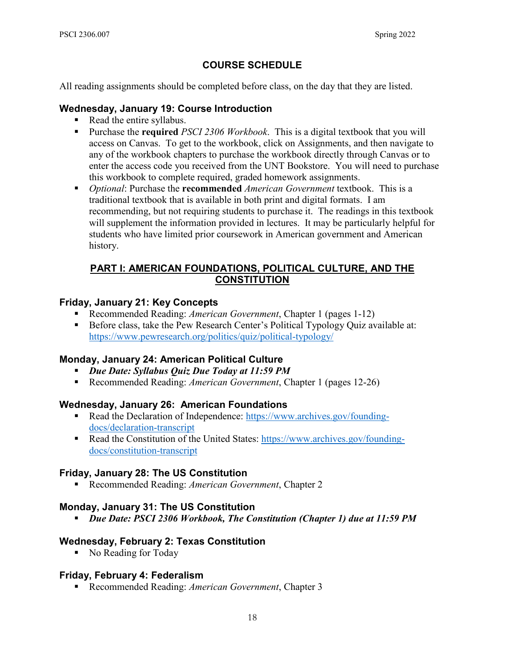## **COURSE SCHEDULE**

All reading assignments should be completed before class, on the day that they are listed.

### **Wednesday, January 19: Course Introduction**

- Read the entire syllabus.
- Purchase the **required** *PSCI 2306 Workbook*. This is a digital textbook that you will access on Canvas. To get to the workbook, click on Assignments, and then navigate to any of the workbook chapters to purchase the workbook directly through Canvas or to enter the access code you received from the UNT Bookstore. You will need to purchase this workbook to complete required, graded homework assignments.
- *Optional*: Purchase the **recommended** *American Government* textbook. This is a traditional textbook that is available in both print and digital formats. I am recommending, but not requiring students to purchase it. The readings in this textbook will supplement the information provided in lectures. It may be particularly helpful for students who have limited prior coursework in American government and American history.

## **PART I: AMERICAN FOUNDATIONS, POLITICAL CULTURE, AND THE CONSTITUTION**

### **Friday, January 21: Key Concepts**

- Recommended Reading: *American Government*, Chapter 1 (pages 1-12)
- Before class, take the Pew Research Center's Political Typology Quiz available at: <https://www.pewresearch.org/politics/quiz/political-typology/>

## **Monday, January 24: American Political Culture**

- *Due Date: Syllabus Quiz Due Today at 11:59 PM*
- Recommended Reading: *American Government*, Chapter 1 (pages 12-26)

## **Wednesday, January 26: American Foundations**

- Read the Declaration of Independence: [https://www.archives.gov/founding](https://www.archives.gov/founding-docs/declaration-transcript)[docs/declaration-transcript](https://www.archives.gov/founding-docs/declaration-transcript)
- Read the Constitution of the United States: [https://www.archives.gov/founding](https://www.archives.gov/founding-docs/constitution-transcript)[docs/constitution-transcript](https://www.archives.gov/founding-docs/constitution-transcript)

## **Friday, January 28: The US Constitution**

■ Recommended Reading: *American Government*, Chapter 2

## **Monday, January 31: The US Constitution**

*Due Date: PSCI 2306 Workbook, The Constitution (Chapter 1) due at 11:59 PM*

### **Wednesday, February 2: Texas Constitution**

• No Reading for Today

## **Friday, February 4: Federalism**

■ Recommended Reading: *American Government*, Chapter 3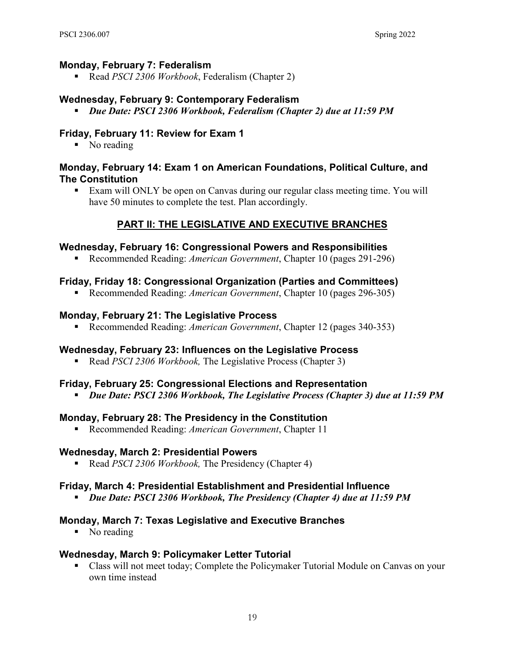#### **Monday, February 7: Federalism**

Read *PSCI 2306 Workbook*, Federalism (Chapter 2)

#### **Wednesday, February 9: Contemporary Federalism**

*Due Date: PSCI 2306 Workbook, Federalism (Chapter 2) due at 11:59 PM*

#### **Friday, February 11: Review for Exam 1**

• No reading

#### **Monday, February 14: Exam 1 on American Foundations, Political Culture, and The Constitution**

 Exam will ONLY be open on Canvas during our regular class meeting time. You will have 50 minutes to complete the test. Plan accordingly.

### **PART II: THE LEGISLATIVE AND EXECUTIVE BRANCHES**

#### **Wednesday, February 16: Congressional Powers and Responsibilities**

Recommended Reading: *American Government*, Chapter 10 (pages 291-296)

#### **Friday, Friday 18: Congressional Organization (Parties and Committees)**

Recommended Reading: *American Government*, Chapter 10 (pages 296-305)

#### **Monday, February 21: The Legislative Process**

Recommended Reading: *American Government*, Chapter 12 (pages 340-353)

#### **Wednesday, February 23: Influences on the Legislative Process**

Read *PSCI 2306 Workbook,* The Legislative Process (Chapter 3)

#### **Friday, February 25: Congressional Elections and Representation**

*Due Date: PSCI 2306 Workbook, The Legislative Process (Chapter 3) due at 11:59 PM*

#### **Monday, February 28: The Presidency in the Constitution**

■ Recommended Reading: *American Government*, Chapter 11

#### **Wednesday, March 2: Presidential Powers**

Read *PSCI 2306 Workbook*, The Presidency (Chapter 4)

#### **Friday, March 4: Presidential Establishment and Presidential Influence**

*Due Date: PSCI 2306 Workbook, The Presidency (Chapter 4) due at 11:59 PM*

#### **Monday, March 7: Texas Legislative and Executive Branches**

• No reading

### **Wednesday, March 9: Policymaker Letter Tutorial**

 Class will not meet today; Complete the Policymaker Tutorial Module on Canvas on your own time instead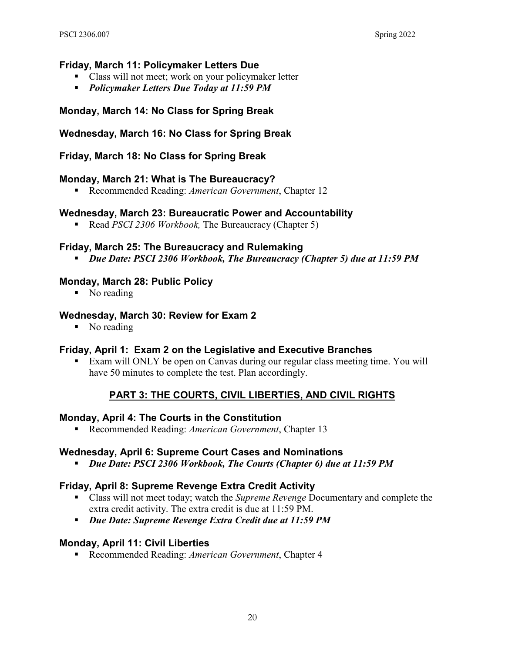#### **Friday, March 11: Policymaker Letters Due**

- Class will not meet; work on your policymaker letter
- *Policymaker Letters Due Today at 11:59 PM*

#### **Monday, March 14: No Class for Spring Break**

#### **Wednesday, March 16: No Class for Spring Break**

#### **Friday, March 18: No Class for Spring Break**

#### **Monday, March 21: What is The Bureaucracy?**

■ Recommended Reading: *American Government*, Chapter 12

#### **Wednesday, March 23: Bureaucratic Power and Accountability**

Read *PSCI 2306 Workbook*, The Bureaucracy (Chapter 5)

#### **Friday, March 25: The Bureaucracy and Rulemaking**

*Due Date: PSCI 2306 Workbook, The Bureaucracy (Chapter 5) due at 11:59 PM*

#### **Monday, March 28: Public Policy**

• No reading

#### **Wednesday, March 30: Review for Exam 2**

• No reading

#### **Friday, April 1: Exam 2 on the Legislative and Executive Branches**

 Exam will ONLY be open on Canvas during our regular class meeting time. You will have 50 minutes to complete the test. Plan accordingly.

#### **PART 3: THE COURTS, CIVIL LIBERTIES, AND CIVIL RIGHTS**

#### **Monday, April 4: The Courts in the Constitution**

Recommended Reading: *American Government*, Chapter 13

#### **Wednesday, April 6: Supreme Court Cases and Nominations**

*Due Date: PSCI 2306 Workbook, The Courts (Chapter 6) due at 11:59 PM*

#### **Friday, April 8: Supreme Revenge Extra Credit Activity**

- Class will not meet today; watch the *Supreme Revenge* Documentary and complete the extra credit activity. The extra credit is due at 11:59 PM.
- *Due Date: Supreme Revenge Extra Credit due at 11:59 PM*

#### **Monday, April 11: Civil Liberties**

■ Recommended Reading: *American Government*, Chapter 4